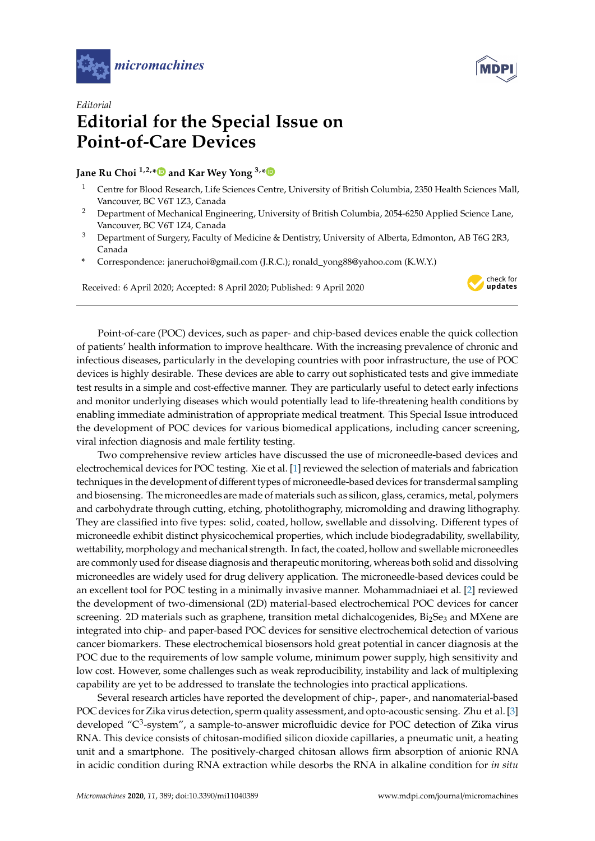



## *Editorial* **Editorial for the Special Issue on Point-of-Care Devices**

**Jane Ru Choi 1,2,[\\*](https://orcid.org/0000-0002-1537-6989) and Kar Wey Yong 3,[\\*](https://orcid.org/0000-0002-9761-9402)**

- <sup>1</sup> Centre for Blood Research, Life Sciences Centre, University of British Columbia, 2350 Health Sciences Mall, Vancouver, BC V6T 1Z3, Canada
- <sup>2</sup> Department of Mechanical Engineering, University of British Columbia, 2054-6250 Applied Science Lane, Vancouver, BC V6T 1Z4, Canada
- <sup>3</sup> Department of Surgery, Faculty of Medicine & Dentistry, University of Alberta, Edmonton, AB T6G 2R3, Canada
- **\*** Correspondence: janeruchoi@gmail.com (J.R.C.); ronald\_yong88@yahoo.com (K.W.Y.)

Received: 6 April 2020; Accepted: 8 April 2020; Published: 9 April 2020



Point-of-care (POC) devices, such as paper- and chip-based devices enable the quick collection of patients' health information to improve healthcare. With the increasing prevalence of chronic and infectious diseases, particularly in the developing countries with poor infrastructure, the use of POC devices is highly desirable. These devices are able to carry out sophisticated tests and give immediate test results in a simple and cost-effective manner. They are particularly useful to detect early infections and monitor underlying diseases which would potentially lead to life-threatening health conditions by enabling immediate administration of appropriate medical treatment. This Special Issue introduced the development of POC devices for various biomedical applications, including cancer screening, viral infection diagnosis and male fertility testing.

Two comprehensive review articles have discussed the use of microneedle-based devices and electrochemical devices for POC testing. Xie et al. [\[1\]](#page-1-0) reviewed the selection of materials and fabrication techniques in the development of different types of microneedle-based devices for transdermal sampling and biosensing. The microneedles are made of materials such as silicon, glass, ceramics, metal, polymers and carbohydrate through cutting, etching, photolithography, micromolding and drawing lithography. They are classified into five types: solid, coated, hollow, swellable and dissolving. Different types of microneedle exhibit distinct physicochemical properties, which include biodegradability, swellability, wettability, morphology and mechanical strength. In fact, the coated, hollow and swellable microneedles are commonly used for disease diagnosis and therapeutic monitoring, whereas both solid and dissolving microneedles are widely used for drug delivery application. The microneedle-based devices could be an excellent tool for POC testing in a minimally invasive manner. Mohammadniaei et al. [\[2\]](#page-1-1) reviewed the development of two-dimensional (2D) material-based electrochemical POC devices for cancer screening. 2D materials such as graphene, transition metal dichalcogenides, Bi<sub>2</sub>Se<sub>3</sub> and MXene are integrated into chip- and paper-based POC devices for sensitive electrochemical detection of various cancer biomarkers. These electrochemical biosensors hold great potential in cancer diagnosis at the POC due to the requirements of low sample volume, minimum power supply, high sensitivity and low cost. However, some challenges such as weak reproducibility, instability and lack of multiplexing capability are yet to be addressed to translate the technologies into practical applications.

Several research articles have reported the development of chip-, paper-, and nanomaterial-based POC devices for Zika virus detection, sperm quality assessment, and opto-acoustic sensing. Zhu et al.[\[3\]](#page-1-2) developed "C<sup>3</sup>-system", a sample-to-answer microfluidic device for POC detection of Zika virus RNA. This device consists of chitosan-modified silicon dioxide capillaries, a pneumatic unit, a heating unit and a smartphone. The positively-charged chitosan allows firm absorption of anionic RNA in acidic condition during RNA extraction while desorbs the RNA in alkaline condition for *in situ*